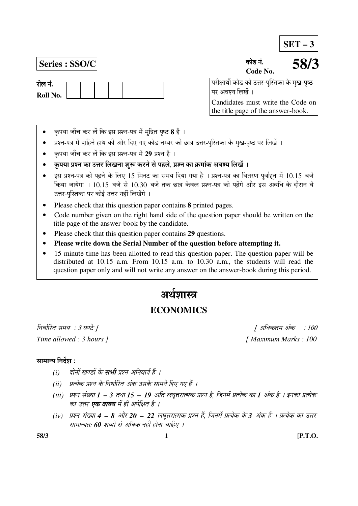**SET – 3**

**Series : SSO/C** úÖê›ü −ÖÓ.

रोल नं. **Roll No.**  **Code No. 58/3**

 ¯Ö¸üßÖÖ£Öá úÖê›ü úÖê ˆ¢Ö¸ü-¯ÖãÛßÖúÖ êú ´Öã Ö-¯Öéšü पर अवश्य लिखें ।

Candidates must write the Code on the title page of the answer-book.

- कृपया जाँच कर लें कि इस प्रश्न-पत्र में मुद्रित पृष्ठ **8** हैं ।
- प्रश्न-पत्र में दाहिने हाथ की ओर दिए गए कोड नम्बर को छात्र उत्तर-पुस्तिका के मुख-पृष्ठ पर लिखें ।
- कपया जाँच कर लें कि इस प्रश्न-पत्र में 29 प्रश्न हैं ।
- कृपया प्रश्न का उत्तर लिखना शुरू करने से पहले, प्रश्न का क्रमांक अवश्य लिखें ।
- इस प्रश्न-पत्र को पढ़ने के लिए 15 मिनट का समय दिया गया है । प्रश्न-पत्र का वितरण पूर्वाहन में 10.15 बजे किया जायेगा । 10.15 बजे से 10.30 बजे तक छात्र केवल प्रश्न-पत्र को पढ़ेंगे और इस अवधि के दौरान वे उत्तर-पुस्तिका पर कोई उत्तर नहीं लिखेंगे ।
- Please check that this question paper contains **8** printed pages.
- Code number given on the right hand side of the question paper should be written on the title page of the answer-book by the candidate.
- Please check that this question paper contains **29** questions.
- **Please write down the Serial Number of the question before attempting it.**
- 15 minute time has been allotted to read this question paper. The question paper will be distributed at 10.15 a.m. From 10.15 a.m. to 10.30 a.m., the students will read the question paper only and will not write any answer on the answer-book during this period.

# अर्थञास्त्र

# **ECONOMICS**

×®Ö¬ÖÖÔ׸üŸÖ ÃÖ´ÖµÖ : 3 'ÖÞ™êü ] [ †×¬ÖÛúŸÖ´Ö †ÓÛú : 100 *Time allowed : 3 hours ] [ Maximum Marks : 100* 

# सामान्य निर्देश $\colon$

- *(i) दोनों खण्डों के सभी प्रश्न अनिवार्य हैं ।*
- *(ii) प्रत्येक प्रश्न के निर्धारित अंक उसके सामने दिए गए हैं ।*
- *(iii) प्रश्न संख्या 1 3 तथा 15 19 अति लघूत्तरात्मक प्रश्न है, जिनमें प्रत्येक का 1 अंक है । इनका प्रत्येक* का उत्तर **एक वाक्य** में ही अपेक्षित है ।
- *(iv) प्रश्न संख्या 4 8 और 20 22 लघूत्तरात्मक प्रश्न हैं, जिनमें प्रत्येक के 3 अंक हैं । प्रत्येक का उत्तर* सामान्यतः 60 शब्दों से अधिक नहीं होना चाहिए ।

**58/3 1 [P.T.O.**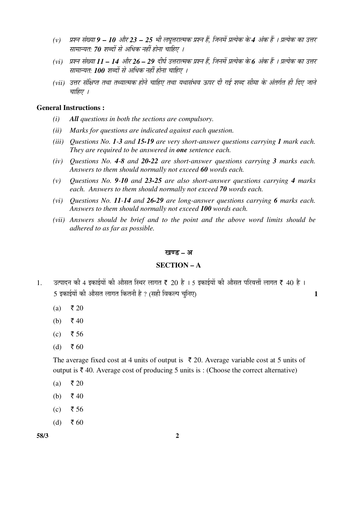- (v) प्रश्न संख्या 9 10 और 23 25 भी लघुत्तरात्मक प्रश्न हैं. जिनमें प्रत्येक के 4 अंक हैं । प्रत्येक का उत्तर सामान्यत: 70 शब्दों से अधिक नहीं होना चाहिए ।
- (vi) प्रश्न संख्या 11 14 और 26 29 दीर्घ उत्तरात्मक प्रश्न हैं, जिनमें प्रत्येक के 6 अंक हैं । प्रत्येक का उत्तर सामान्यत: 100 शब्दों से अधिक नहीं होना चाहिए ।
- *(vii) उत्तर संक्षिप्त तथा तथ्यात्मक होने चाहिए तथा यथासंभव ऊपर दी गई शब्द सीमा के अंतर्गत ही दिए जाने* चाहिए ।

#### **General Instructions :**

- *(i) All questions in both the sections are compulsory.*
- *(ii) Marks for questions are indicated against each question.*
- *(iii) Questions No. 1-3 and 15-19 are very short-answer questions carrying 1 mark each. They are required to be answered in one sentence each.*
- *(iv) Questions No. 4-8 and 20-22 are short-answer questions carrying 3 marks each. Answers to them should normally not exceed 60 words each.*
- *(v) Questions No. 9-10 and 23-25 are also short-answer questions carrying 4 marks each. Answers to them should normally not exceed 70 words each.*
- *(vi) Questions No. 11-14 and 26-29 are long-answer questions carrying 6 marks each. Answers to them should normally not exceed 100 words each.*
- *(vii) Answers should be brief and to the point and the above word limits should be adhered to as far as possible.*

#### खण्ड – अ

#### **SECTION – A**

- $1.$   $\,$ उत्पादन की 4 इकाईयों की औसत स्थिर लागत ₹ 20 है । 5 इकाईयों की औसत परिवर्त्ती लागत ₹ 40 है । 5 ‡ÛúÖ‡ÔµÖÖë Ûúß †ÖîÃÖŸÖ »ÖÖÝÖŸÖ ×ÛúŸÖ®Öß Æîü ? (ÃÖÆüß ×¾ÖÛú»¯Ö "Öã×®Ö‹) **1**
	- (a) ₹ 20
	- (b)  $\bar{z}$  40
	- (c) ₹ 56
	- (d) ₹ 60

The average fixed cost at 4 units of output is  $\bar{\tau}$  20. Average variable cost at 5 units of output is  $\bar{\tau}$  40. Average cost of producing 5 units is : (Choose the correct alternative)

- (a) ₹ 20
- (b)  $\bar{\xi}$  40
- (c) ₹ 56
- $(d)$  ₹ 60

**58/3 2**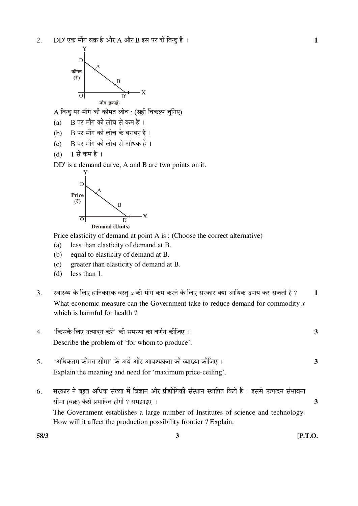

 $\bf A$  बिन्दु पर माँग की कीमत लोच : (सही विकल्प चुनिए)

- (a) B पर माँग की लोच से कम है।
- (b) B पर माँग की लोच के बराबर है।
- $(c)$  B पर माँग की लोच से अधिक है।
- (d) 1 से कम है ।

DD' is a demand curve, A and B are two points on it.



Price elasticity of demand at point A is : (Choose the correct alternative)

- (a) less than elasticity of demand at B.
- (b) equal to elasticity of demand at B.
- (c) greater than elasticity of demand at B.
- (d) less than 1.
- 3. स्वास्थ्य के लिए हानिकारक वस्तु  $x$  की माँग कम करने के लिए सरकार क्या आर्थिक उपाय कर सकती है ? 1 What economic measure can the Government take to reduce demand for commodity *x* which is harmful for health ?

| $\overline{4}$ . | 'किसके लिए उत्पादन करें' की समस्या का वर्णन कीजिए ।                                                                                                                                                                                                                                                          | 3 |
|------------------|--------------------------------------------------------------------------------------------------------------------------------------------------------------------------------------------------------------------------------------------------------------------------------------------------------------|---|
|                  | Describe the problem of 'for whom to produce'.                                                                                                                                                                                                                                                               |   |
| 5.               | 'अधिकतम कीमत सीमा' के अर्थ और आवश्यकता की व्याख्या कीजिए ।<br>Explain the meaning and need for 'maximum price-ceiling'.                                                                                                                                                                                      | 3 |
| 6.               | सरकार ने बहुत अधिक संख्या में विज्ञान और प्रौद्योगिकी संस्थान स्थापित किये हैं । इससे उत्पादन संभावना<br>सीमा (वक्र) कैसे प्रभावित होगी ? समझाइए ।<br>The Government establishes a large number of Institutes of science and technology.<br>How will it affect the production possibility frontier? Explain. |   |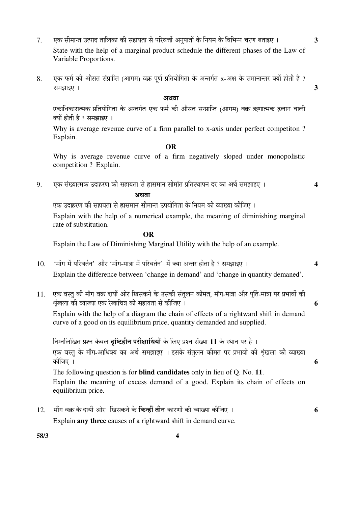- 7. एक सीमान्त उत्पाद तालिका की सहायता से परिवर्त्ती अनपातों के नियम के विभिन्न चरण बताइए । **3**  State with the help of a marginal product schedule the different phases of the Law of Variable Proportions.
- $8.$  एक फर्म की औसत संप्राप्ति (आगम) वक्र पूर्ण प्रतियोगिता के अन्तर्गत  $x$ -अक्ष के समानान्तर क्यों होती है ?  $\overline{3}$

#### अथवा

एकाधिकारात्मक प्रतियोगिता के अन्तर्गत एक फर्म की औसत सन्प्राप्ति (आगम) वक्र ऋणात्मक ढलान वाली क्यों होती है ? समझाइए ।

 Why is average revenue curve of a firm parallel to x-axis under perfect competiton ? Explain.

#### **OR**

Why is average revenue curve of a firm negatively sloped under monopolistic competition ? Explain.

9. एक संख्यात्मक उदाहरण की सहायता से ह्रासमान सीमांत प्रतिस्थापन दर का अर्थ समझाइए । 4

# $\mathcal{L}^{\mathcal{L}}(\mathcal{L}^{\mathcal{L}}(\mathcal{L}^{\mathcal{L}}(\mathcal{L}^{\mathcal{L}}(\mathcal{L}^{\mathcal{L}}(\mathcal{L}^{\mathcal{L}}(\mathcal{L}^{\mathcal{L}}(\mathcal{L}^{\mathcal{L}}(\mathcal{L}^{\mathcal{L}}(\mathcal{L}^{\mathcal{L}}(\mathcal{L}^{\mathcal{L}}(\mathcal{L}^{\mathcal{L}}(\mathcal{L}^{\mathcal{L}}(\mathcal{L}^{\mathcal{L}}(\mathcal{L}^{\mathcal{L}}(\mathcal{L}^{\mathcal{L}}(\mathcal{L}^{\mathcal{L$

एक उदाहरण की सहायता से ह्रासमान सीमान्त उपयोगिता के नियम की व्याख्या कीजिए ।

 Explain with the help of a numerical example, the meaning of diminishing marginal rate of substitution.

### **OR**

Explain the Law of Diminishing Marginal Utility with the help of an example.

- 10. 'माँग में परिवर्तन' और 'माँग-मात्रा में परिवर्तन' में क्या अन्तर होता है ? समझाइए । 4 Explain the difference between 'change in demand' and 'change in quantity demaned'.
- 11. एक वस्त की माँग वक्र दायीं ओर खिसकने के उसकी संतलन कीमत. माँग-मात्रा और पर्ति-मात्रा पर प्रभावों की ÀÖéÓÜÖ»ÖÖ Ûúß ¾µÖÖܵÖÖ ‹Ûú ¸êüÜÖÖ×"Ö¡Ö Ûúß ÃÖÆüÖµÖŸÖÖ ÃÖê Ûúßו֋ … **6**

 Explain with the help of a diagram the chain of effects of a rightward shift in demand curve of a good on its equilibrium price, quantity demanded and supplied.

निम्नलिखित प्रश्न केवल **दृष्टिहीन परीक्षार्थियों** के लिए प्रश्न संख्या 11 के स्थान पर है । एक वस्त के माँग-आधिक्य का अर्थ समझाइए । इसके संतलन कीमत पर प्रभावों की शृंखला की व्याख्या Ûúßו֋ … **6**  The following question is for **blind candidates** only in lieu of Q. No. **11**. Explain the meaning of excess demand of a good. Explain its chain of effects on equilibrium price.

12. ´ÖÖÑÝÖ ¾ÖÛÎú Ûêú ¤üÖµÖà †Öê¸ü ü ×ÜÖÃÖÛú®Öê Ûêú ×Ûú®Æüà ŸÖß®Ö ÛúÖ¸üÞÖÖë Ûúß ¾µÖÖܵÖÖ Ûúßו֋ … **6** Explain **any three** causes of a rightward shift in demand curve.

**58/3 4**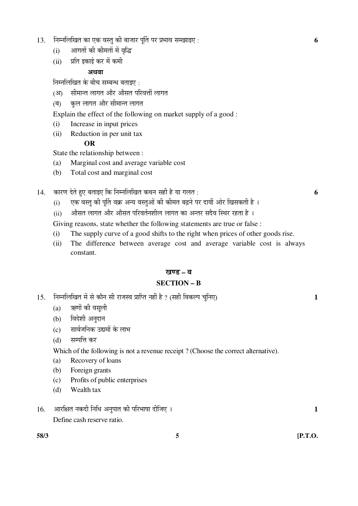- 13. ×®Ö´®Ö×»Ö×ÜÖŸÖ ÛúÖ ‹Ûú ¾ÖßÖã Ûúß ²ÖÖ•ÖÖ¸ü ¯ÖæÙŸÖ ¯Ö¸ü ¯ÖϳÖÖ¾Ö ÃÖ´Ö—ÖÖ‡‹ : **6**
	- (i) आगतों की कीमतों में वृद्धि
	- (ii) प्रति इकाई कर में कमी

# अथवा

निम्नलिखित के बीच सम्बन्ध बताइए $\,$  :

- (आ) सीमान्त लागत और औसत परिवर्त्ती लागत
- (ब) कुल लागत और सीमान्त लागत
- Explain the effect of the following on market supply of a good :
- (i) Increase in input prices
- (ii) Reduction in per unit tax

### **OR**

State the relationship between :

- (a) Marginal cost and average variable cost
- (b) Total cost and marginal cost

14. ÛúÖ¸üÞÖ ¤êüŸÖê Æãü‹ ²ÖŸÖÖ‡‹ ×Ûú ×®Ö´®Ö×»Ö×ÜÖŸÖ Ûú£Ö®Ö ÃÖÆüß Æîü µÖÖ ÝÖ»ÖŸÖ : **6**

- (i) एक वस्तू की पूर्ति वक्र अन्य वस्तुओं की कीमत बढ़ने पर दायीं ओर खिसकती है ।
- (ii) औसत लागत और औसत परिवर्तनशील लागत का अन्तर सदैव स्थिर रहता है ।

Giving reasons, state whether the following statements are true or false :

- (i) The supply curve of a good shifts to the right when prices of other goods rise.
- (ii) The difference between average cost and average variable cost is always constant.

#### खण्ड – ब

## **SECTION – B**

- 15. ×®Ö´®Ö×»Ö×ÜÖŸÖ ´Öë ÃÖê ÛúÖî®Ö ÃÖß ¸üÖ•ÖÃ¾Ö ¯ÖÏÖׯŸÖ ®ÖÆüà Æîü ? (ÃÖÆüß ×¾ÖÛú»¯Ö "Öã×®Ö‹) **1** 
	- $(a)$  ऋणों की वसली
	- (b) विदेशी अनुदान
	- (c) सार्वजनिक उद्यमों के लाभ
	- (d) सम्पत्ति कर

Which of the following is not a revenue receipt ? (Choose the correct alternative).

- (a) Recovery of loans
- (b) Foreign grants
- (c) Profits of public enterprises
- (d) Wealth tax
- 16. †Ö¸ü×õÖŸÖ ®ÖÛú¤üß ×®Ö×¬Ö †®Öã¯ÖÖŸÖ Ûúß ¯Ö׸ü³ÖÖÂÖÖ ¤üßו֋ … **1**  Define cash reserve ratio.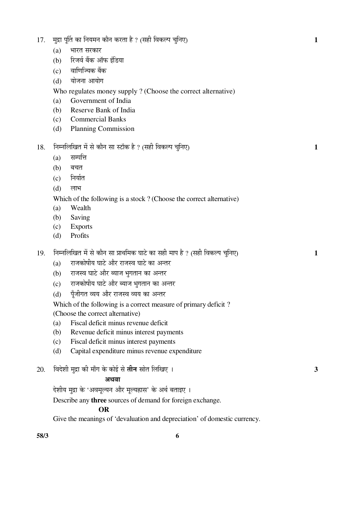| 58/3 | 6                                                                                                                                                    |   |
|------|------------------------------------------------------------------------------------------------------------------------------------------------------|---|
|      | Describe any three sources of demand for foreign exchange.<br><b>OR</b><br>Give the meanings of 'devaluation and depreciation' of domestic currency. |   |
|      | अथवा<br>देशीय मुद्रा के 'अवमूल्यन और मूल्यह्रास' के अर्थ बताइए ।                                                                                     |   |
| 20.  | विदेशी मुद्रा की माँग के कोई से <b>तीन</b> स्रोत लिखिए ।                                                                                             | 3 |
|      | Capital expenditure minus revenue expenditure<br>(d)                                                                                                 |   |
|      | Fiscal deficit minus interest payments<br>(c)                                                                                                        |   |
|      | Fiscal deficit minus revenue deficit<br>(a)<br>Revenue deficit minus interest payments<br>(b)                                                        |   |
|      | (Choose the correct alternative)                                                                                                                     |   |
|      | Which of the following is a correct measure of primary deficit?                                                                                      |   |
|      | पूँजीगत व्यय और राजस्व व्यय का अन्तर<br>(d)                                                                                                          |   |
|      | राजकोषीय घाटे और ब्याज भुगतान का अन्तर<br>(c)                                                                                                        |   |
|      | राजस्व घाटे और ब्याज भुगतान का अन्तर<br>(b)                                                                                                          |   |
| 19.  | निम्नलिखित में से कौन सा प्राथमिक घाटे का सही माप है ? (सही विकल्प चुनिए)<br>राजकोषीय घाटे और राजस्व घाटे का अन्तर<br>(a)                            | 1 |
|      |                                                                                                                                                      |   |
|      | Profits<br>(d)                                                                                                                                       |   |
|      | Saving<br>(b)<br><b>Exports</b><br>(c)                                                                                                               |   |
|      | Wealth<br>(a)                                                                                                                                        |   |
|      | Which of the following is a stock? (Choose the correct alternative)                                                                                  |   |
|      | (d)<br>लाभ                                                                                                                                           |   |
|      | निर्यात<br>(c)                                                                                                                                       |   |
|      | (b)<br>बचत                                                                                                                                           |   |
|      | सम्पत्ति<br>(a)                                                                                                                                      |   |
| 18.  | निम्नलिखित में से कौन सा स्टॉक है ? (सही विकल्प चुनिए)                                                                                               | 1 |
|      | (d)<br><b>Planning Commission</b>                                                                                                                    |   |
|      | <b>Commercial Banks</b><br>(c)                                                                                                                       |   |
|      | Reserve Bank of India<br>(b)                                                                                                                         |   |
|      | Who regulates money supply? (Choose the correct alternative)<br>Government of India<br>(a)                                                           |   |
|      | योजना आयोग<br>(d)                                                                                                                                    |   |
|      | वाणिज्यिक बैंक<br>(c)                                                                                                                                |   |
|      | रिजर्व बैंक ऑफ इंडिया<br>(b)                                                                                                                         |   |
|      | भारत सरकार<br>(a)                                                                                                                                    |   |
| 17.  | मुद्रा पूर्ति का नियमन कौन करता है ? (सही विकल्प चुनिए)                                                                                              | 1 |
|      |                                                                                                                                                      |   |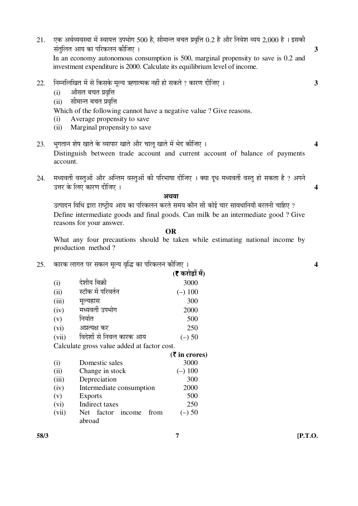- $21.$  एक अर्थव्यवस्था में स्वायत्त उपभोग 500 है, सीमान्त बचत प्रवृत्ति 0.2 है और निवेश व्यय 2,000 है। इसकी  $\vec{a}$ क्तित आय का परिकलन कीजिए । यो उन्हें यो उन्हें आपके अधिकारित के अधिकारित आया था। In an economy autonomous consumption is 500, marginal propensity to save is 0.2 and investment expenditure is 2000. Calculate its equilibrium level of income.
- $22.$  निम्नलिखित में से किसके मुल्य ऋणात्मक नहीं हो सकते ? कारण दीजिए ।  $\overline{\phantom{a}}$ 
	- (i) औसत बचत प्रवृत्ति
	- (ii) सीमान्त बचत प्रवृत्ति

Which of the following cannot have a negative value ? Give reasons.

- (i) Average propensity to save
- (ii) Marginal propensity to save
- 23. ³ÖãÝÖŸÖÖ®Ö ¿ÖêÂÖ ÜÖÖŸÖê Ûêú ¾µÖÖ¯ÖÖ¸ü ÜÖÖŸÖê †Öî¸ü "ÖÖ»Öæ ÜÖÖŸÖê ´Öë ³Öê¤ü Ûúßו֋ … **4**  Distinguish between trade account and current account of balance of payments account.
- 24. मध्यवर्ती वस्तुओं और अन्तिम वस्तुओं की परिभाषा दीजिए । क्या दूध मध्यवर्ती वस्तू हो सकता है ? अपने ˆ¢Ö¸ü Ûêú ×»Ö‹ ÛúÖ¸üÞÖ ¤üßו֋ … **4**

#### अंशता

उत्पादन विधि द्वारा राष्ट्रीय आय का परिकलन करते समय कौन सी कोई चार सावधानियाँ बरतनी चाहिए ? Define intermediate goods and final goods. Can milk be an intermediate good ? Give reasons for your answer.

**OR** 

 What any four precautions should be taken while estimating national income by production method ?

25. ÛúÖ¸üÛú »ÖÖÝÖŸÖ ¯Ö¸ü ÃÖÛú»Ö ´Öæ»µÖ ¾Öéרü ÛúÖ ¯Ö׸üÛú»Ö®Ö Ûúßו֋ … **4** 

|       |                                             | (र करोड़ों में) |
|-------|---------------------------------------------|-----------------|
| (i)   | देशीय बिक्री                                | 3000            |
| (ii)  | स्टॉक में परिवर्तन                          | $(-) 100$       |
| (iii) | मूल्यह्रास                                  | 300             |
| (iv)  | मध्यवर्ती उपभोग                             | 2000            |
| (v)   | निर्यात                                     | 500             |
| (vi)  | अप्रत्यक्ष कर                               | 250             |
| (vii) | विदेशों से निवल कारक आय                     | $(-)$ 50        |
|       | Calculate gross value added at factor cost. |                 |

|       |                           | $(5 \text{ in crores})$ |
|-------|---------------------------|-------------------------|
| (i)   | Domestic sales            | 3000                    |
| (ii)  | Change in stock           | $(-)$ 100               |
| (iii) | Depreciation              | 300                     |
| (iv)  | Intermediate consumption  | 2000                    |
| (v)   | Exports                   | 500                     |
| (vi)  | Indirect taxes            | 250                     |
| (vii) | Net factor income<br>from | $(-)$ 50                |
|       | abroad                    |                         |
|       |                           |                         |

**58/3 7 [P.T.O.**